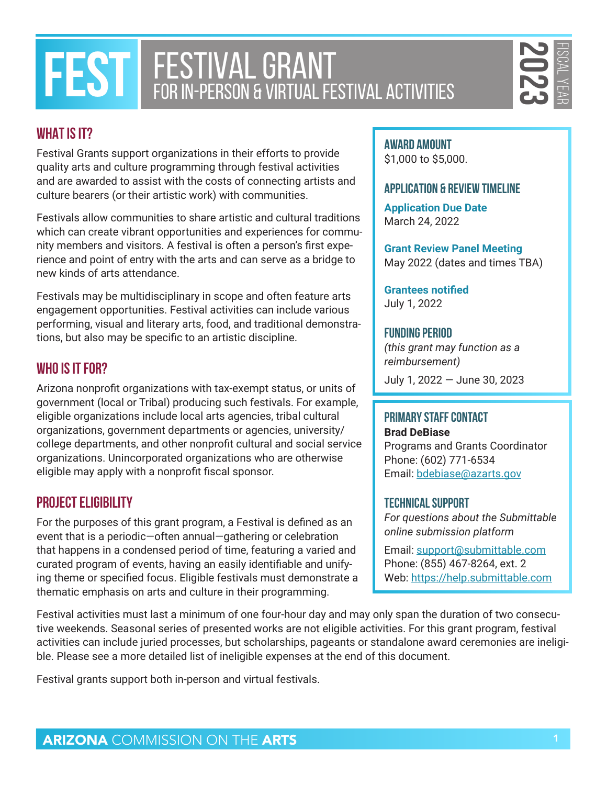# **FESTIVAL GRANT FOR IN-PERSON & VIRTUAL FESTIVAL ACTIVITIES**

FISCAL YEAR

# **WHAT IS IT?**

Festival Grants support organizations in their efforts to provide quality arts and culture programming through festival activities and are awarded to assist with the costs of connecting artists and culture bearers (or their artistic work) with communities.

Festivals allow communities to share artistic and cultural traditions which can create vibrant opportunities and experiences for community members and visitors. A festival is often a person's first experience and point of entry with the arts and can serve as a bridge to new kinds of arts attendance.

Festivals may be multidisciplinary in scope and often feature arts engagement opportunities. Festival activities can include various performing, visual and literary arts, food, and traditional demonstrations, but also may be specific to an artistic discipline.

## **WHO IS IT FOR?**

**EXERCT IVAL GRANT CONTINUAL FESTIVAL ACTIVITIES**<br> **ARTS IT?**<br> **ARTS IT?**<br> **ARTS IT?**<br> **ARTS IT?**<br> **ARTS IT?**<br> **ARTS IT?**<br> **ARTS IT?**<br> **ARTS IT?**<br> **ARTS IT?**<br> **ARTS INTERT INTERT INTERT ACTIVITIES**<br> **ARTS INTERT INTERT ACT** Arizona nonprofit organizations with tax-exempt status, or units of government (local or Tribal) producing such festivals. For example, eligible organizations include local arts agencies, tribal cultural organizations, government departments or agencies, university/ college departments, and other nonprofit cultural and social service organizations. Unincorporated organizations who are otherwise eligible may apply with a nonprofit fiscal sponsor.

### **PROJECT ELIGIBILITY**

For the purposes of this grant program, a Festival is defined as an event that is a periodic—often annual—gathering or celebration that happens in a condensed period of time, featuring a varied and curated program of events, having an easily identifiable and unifying theme or specified focus. Eligible festivals must demonstrate a thematic emphasis on arts and culture in their programming.

#### **AWARD AMOUNT** \$1,000 to \$5,000.

#### **APPLICATION & REVIEW TIMELINE**

**Application Due Date** March 24, 2022

**Grant Review Panel Meeting** May 2022 (dates and times TBA)

**Grantees notified** July 1, 2022

#### **Funding Period**

*(this grant may function as a reimbursement)* July 1, 2022 — June 30, 2023

# **Primary Staff Contact**

**Brad DeBiase** Programs and Grants Coordinator Phone: (602) 771-6534 Email: [bdebiase@azarts.gov](mailto:bdebiase%40azarts.gov?subject=)

#### **Technical Support**

*For questions about the Submittable online submission platform*

Email: [support@submittable.com](mailto:support%40submittable.com?subject=) Phone: (855) 467-8264, ext. 2 Web: <https://help.submittable.com>

Festival activities must last a minimum of one four-hour day and may only span the duration of two consecutive weekends. Seasonal series of presented works are not eligible activities. For this grant program, festival activities can include juried processes, but scholarships, pageants or standalone award ceremonies are ineligible. Please see a more detailed list of ineligible expenses at the end of this document.

Festival grants support both in-person and virtual festivals.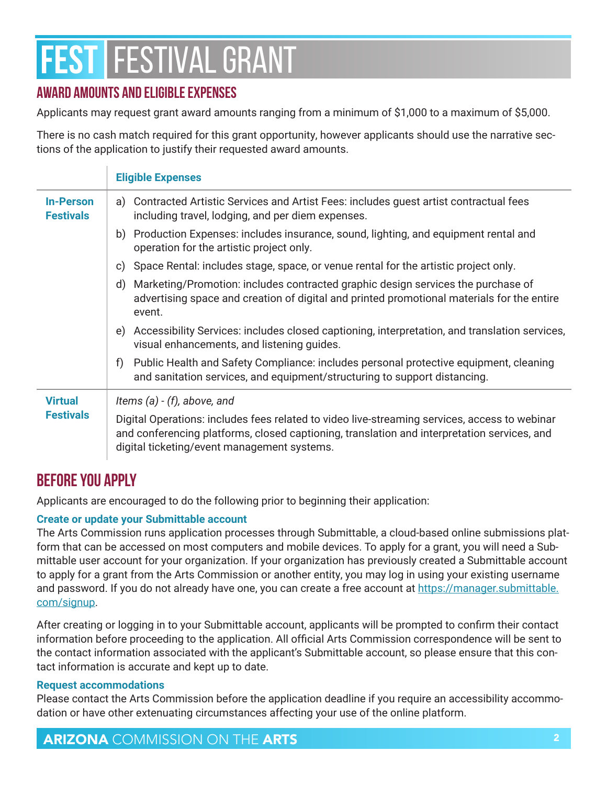# **AWARD AMOUNTS AND ELIGIBLE EXPENSES**

Applicants may request grant award amounts ranging from a minimum of \$1,000 to a maximum of \$5,000.

There is no cash match required for this grant opportunity, however applicants should use the narrative sections of the application to justify their requested award amounts.

|                                      | <b>Eligible Expenses</b>                                                                                                                                                                                                                    |
|--------------------------------------|---------------------------------------------------------------------------------------------------------------------------------------------------------------------------------------------------------------------------------------------|
| <b>In-Person</b><br><b>Festivals</b> | a) Contracted Artistic Services and Artist Fees: includes guest artist contractual fees<br>including travel, lodging, and per diem expenses.                                                                                                |
|                                      | b) Production Expenses: includes insurance, sound, lighting, and equipment rental and<br>operation for the artistic project only.                                                                                                           |
|                                      | Space Rental: includes stage, space, or venue rental for the artistic project only.<br>C)                                                                                                                                                   |
|                                      | Marketing/Promotion: includes contracted graphic design services the purchase of<br>d)<br>advertising space and creation of digital and printed promotional materials for the entire<br>event.                                              |
|                                      | e) Accessibility Services: includes closed captioning, interpretation, and translation services,<br>visual enhancements, and listening guides.                                                                                              |
|                                      | Public Health and Safety Compliance: includes personal protective equipment, cleaning<br>f)<br>and sanitation services, and equipment/structuring to support distancing.                                                                    |
| <b>Virtual</b><br><b>Festivals</b>   | Items (a) $-$ (f), above, and                                                                                                                                                                                                               |
|                                      | Digital Operations: includes fees related to video live-streaming services, access to webinar<br>and conferencing platforms, closed captioning, translation and interpretation services, and<br>digital ticketing/event management systems. |

# **Before you Apply**

Applicants are encouraged to do the following prior to beginning their application:

#### **Create or update your Submittable account**

The Arts Commission runs application processes through Submittable, a cloud-based online submissions platform that can be accessed on most computers and mobile devices. To apply for a grant, you will need a Submittable user account for your organization. If your organization has previously created a Submittable account to apply for a grant from the Arts Commission or another entity, you may log in using your existing username and password. If you do not already have one, you can create a free account at [https://manager.submittable.](https://manager.submittable.com/signup) [com/signup](https://manager.submittable.com/signup).

After creating or logging in to your Submittable account, applicants will be prompted to confirm their contact information before proceeding to the application. All official Arts Commission correspondence will be sent to the contact information associated with the applicant's Submittable account, so please ensure that this contact information is accurate and kept up to date.

#### **Request accommodations**

Please contact the Arts Commission before the application deadline if you require an accessibility accommodation or have other extenuating circumstances affecting your use of the online platform.

ARIZONA COMMISSION ON THE ARTS **2008** 2008 2014 2015 2016 2017 2018 2019 2019 2019 2014 2016 2017 2018 2019 2019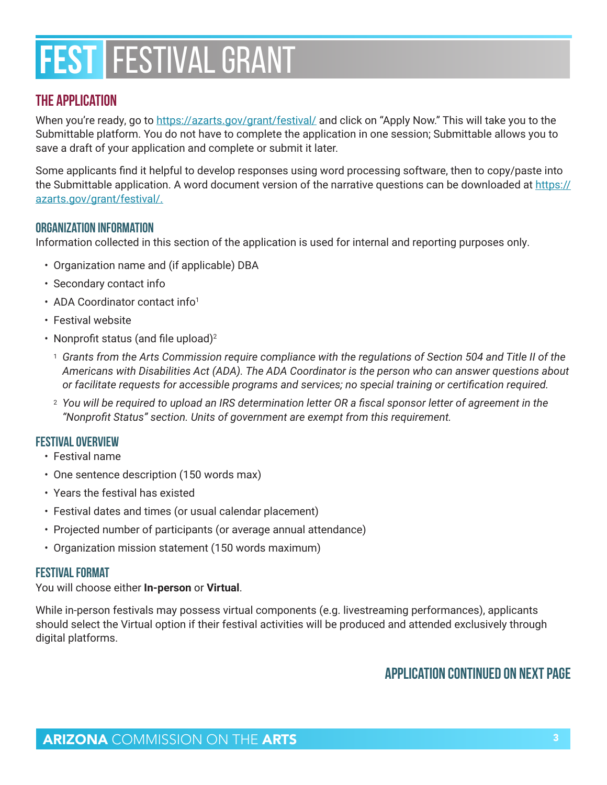### **The Application**

When you're ready, go to <https://azarts.gov/grant/festival/> and click on "Apply Now." This will take you to the Submittable platform. You do not have to complete the application in one session; Submittable allows you to save a draft of your application and complete or submit it later.

Some applicants find it helpful to develop responses using word processing software, then to copy/paste into the Submittable application. A word document version of the narrative questions can be downloaded at [https://](https://azarts.gov/grant/festival/) [azarts.gov/grant/festival/.](https://azarts.gov/grant/festival/)

#### **Organization Information**

Information collected in this section of the application is used for internal and reporting purposes only.

- Organization name and (if applicable) DBA
- Secondary contact info
- ADA Coordinator contact info<sup>1</sup>
- Festival website
- Nonprofit status (and file upload)<sup>2</sup>
	- <sup>1</sup> *Grants from the Arts Commission require compliance with the regulations of Section 504 and Title II of the Americans with Disabilities Act (ADA). The ADA Coordinator is the person who can answer questions about or facilitate requests for accessible programs and services; no special training or certification required.*
	- <sup>2</sup> *You will be required to upload an IRS determination letter OR a fiscal sponsor letter of agreement in the "Nonprofit Status" section. Units of government are exempt from this requirement.*

#### **Festival Overview**

- Festival name
- One sentence description (150 words max)
- Years the festival has existed
- Festival dates and times (or usual calendar placement)
- Projected number of participants (or average annual attendance)
- Organization mission statement (150 words maximum)

#### **Festival Format**

You will choose either **In-person** or **Virtual**.

While in-person festivals may possess virtual components (e.g. livestreaming performances), applicants should select the Virtual option if their festival activities will be produced and attended exclusively through digital platforms.

### **Application continued on next page**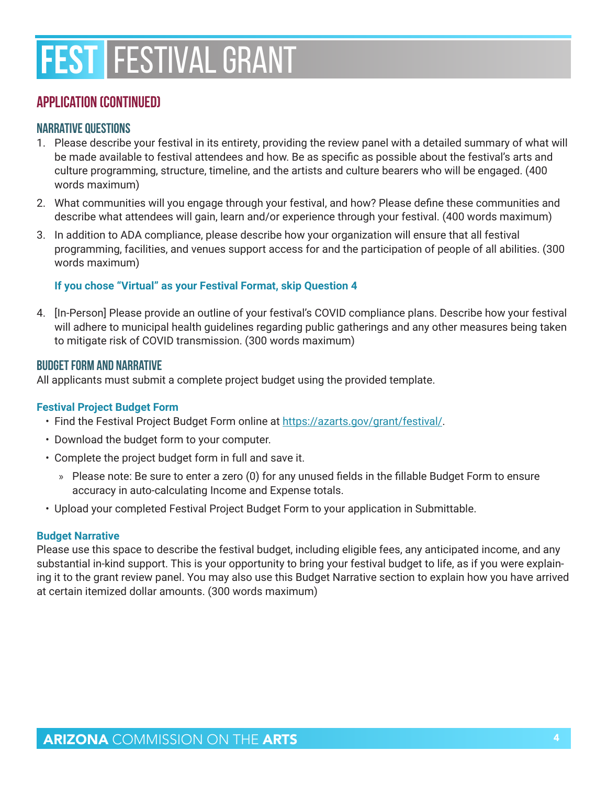### **Application (continued)**

#### **Narrative Questions**

- 1. Please describe your festival in its entirety, providing the review panel with a detailed summary of what will be made available to festival attendees and how. Be as specific as possible about the festival's arts and culture programming, structure, timeline, and the artists and culture bearers who will be engaged. (400 words maximum)
- 2. What communities will you engage through your festival, and how? Please define these communities and describe what attendees will gain, learn and/or experience through your festival. (400 words maximum)
- 3. In addition to ADA compliance, please describe how your organization will ensure that all festival programming, facilities, and venues support access for and the participation of people of all abilities. (300 words maximum)

#### **If you chose "Virtual" as your Festival Format, skip Question 4**

4. [In-Person] Please provide an outline of your festival's COVID compliance plans. Describe how your festival will adhere to municipal health guidelines regarding public gatherings and any other measures being taken to mitigate risk of COVID transmission. (300 words maximum)

#### **Budget Form and Narrative**

All applicants must submit a complete project budget using the provided template.

#### **Festival Project Budget Form**

- Find the Festival Project Budget Form online at<https://azarts.gov/grant/festival/>.
- Download the budget form to your computer.
- Complete the project budget form in full and save it.
	- » Please note: Be sure to enter a zero (0) for any unused fields in the fillable Budget Form to ensure accuracy in auto-calculating Income and Expense totals.
- Upload your completed Festival Project Budget Form to your application in Submittable.

#### **Budget Narrative**

Please use this space to describe the festival budget, including eligible fees, any anticipated income, and any substantial in-kind support. This is your opportunity to bring your festival budget to life, as if you were explaining it to the grant review panel. You may also use this Budget Narrative section to explain how you have arrived at certain itemized dollar amounts. (300 words maximum)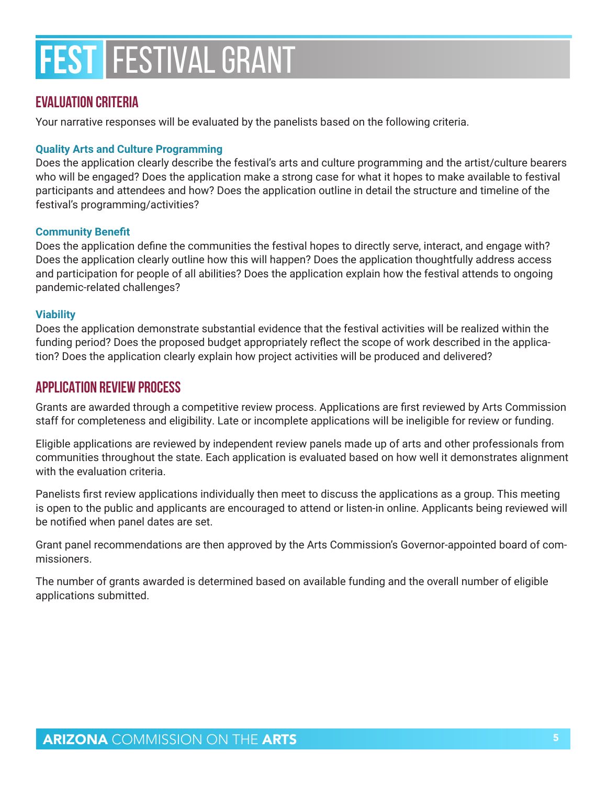### **Evaluation Criteria**

Your narrative responses will be evaluated by the panelists based on the following criteria.

#### **Quality Arts and Culture Programming**

Does the application clearly describe the festival's arts and culture programming and the artist/culture bearers who will be engaged? Does the application make a strong case for what it hopes to make available to festival participants and attendees and how? Does the application outline in detail the structure and timeline of the festival's programming/activities?

#### **Community Benefit**

Does the application define the communities the festival hopes to directly serve, interact, and engage with? Does the application clearly outline how this will happen? Does the application thoughtfully address access and participation for people of all abilities? Does the application explain how the festival attends to ongoing pandemic-related challenges?

#### **Viability**

Does the application demonstrate substantial evidence that the festival activities will be realized within the funding period? Does the proposed budget appropriately reflect the scope of work described in the application? Does the application clearly explain how project activities will be produced and delivered?

### **APPLICATION REVIEW PROCESS**

Grants are awarded through a competitive review process. Applications are first reviewed by Arts Commission staff for completeness and eligibility. Late or incomplete applications will be ineligible for review or funding.

Eligible applications are reviewed by independent review panels made up of arts and other professionals from communities throughout the state. Each application is evaluated based on how well it demonstrates alignment with the evaluation criteria.

Panelists first review applications individually then meet to discuss the applications as a group. This meeting is open to the public and applicants are encouraged to attend or listen-in online. Applicants being reviewed will be notified when panel dates are set.

Grant panel recommendations are then approved by the Arts Commission's Governor-appointed board of commissioners.

The number of grants awarded is determined based on available funding and the overall number of eligible applications submitted.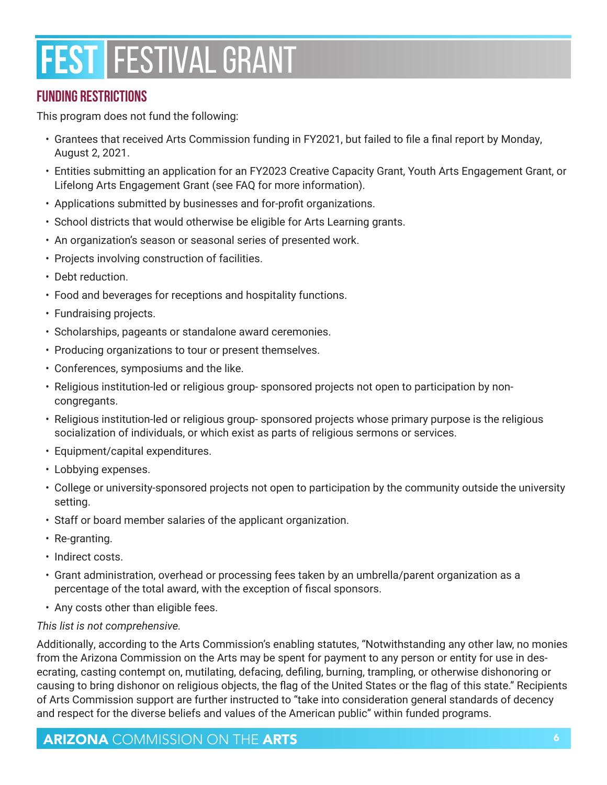# **FUNDING RESTRICTIONS**

This program does not fund the following:

- Grantees that received Arts Commission funding in FY2021, but failed to file a final report by Monday, August 2, 2021.
- Entities submitting an application for an FY2023 Creative Capacity Grant, Youth Arts Engagement Grant, or Lifelong Arts Engagement Grant (see FAQ for more information).
- Applications submitted by businesses and for-profit organizations.
- School districts that would otherwise be eligible for Arts Learning grants.
- An organization's season or seasonal series of presented work.
- Projects involving construction of facilities.
- Debt reduction.
- Food and beverages for receptions and hospitality functions.
- Fundraising projects.
- Scholarships, pageants or standalone award ceremonies.
- Producing organizations to tour or present themselves.
- Conferences, symposiums and the like.
- Religious institution-led or religious group- sponsored projects not open to participation by noncongregants.
- Religious institution-led or religious group- sponsored projects whose primary purpose is the religious socialization of individuals, or which exist as parts of religious sermons or services.
- Equipment/capital expenditures.
- Lobbying expenses.
- College or university-sponsored projects not open to participation by the community outside the university setting.
- Staff or board member salaries of the applicant organization.
- Re-granting.
- Indirect costs.
- Grant administration, overhead or processing fees taken by an umbrella/parent organization as a percentage of the total award, with the exception of fiscal sponsors.
- Any costs other than eligible fees.

#### *This list is not comprehensive.*

Additionally, according to the Arts Commission's enabling statutes, "Notwithstanding any other law, no monies from the Arizona Commission on the Arts may be spent for payment to any person or entity for use in desecrating, casting contempt on, mutilating, defacing, defiling, burning, trampling, or otherwise dishonoring or causing to bring dishonor on religious objects, the flag of the United States or the flag of this state." Recipients of Arts Commission support are further instructed to "take into consideration general standards of decency and respect for the diverse beliefs and values of the American public" within funded programs.

# ARIZONA COMMISSION ON THE ARTS **6.6 ARTS** 6.6 ARTS **6.6 ARTS**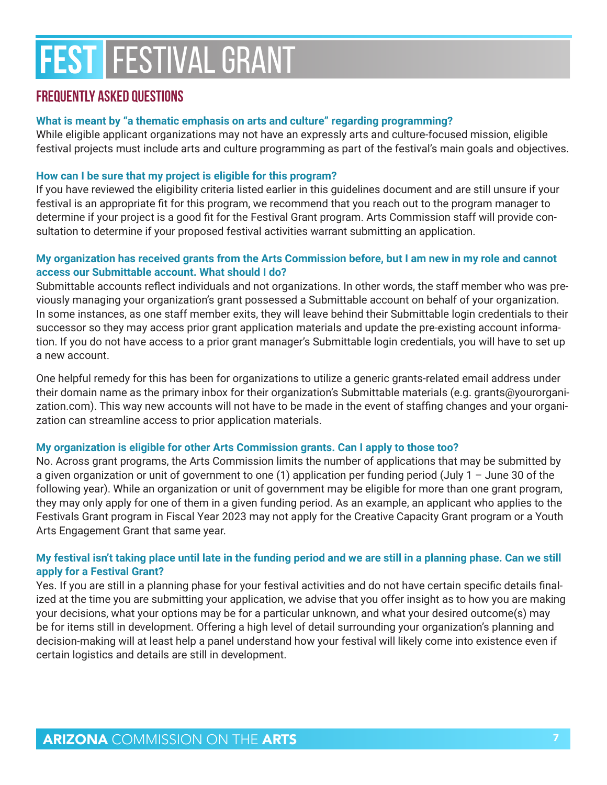### **FREQUENTLY ASKED QUESTIONS**

#### **What is meant by "a thematic emphasis on arts and culture" regarding programming?**

While eligible applicant organizations may not have an expressly arts and culture-focused mission, eligible festival projects must include arts and culture programming as part of the festival's main goals and objectives.

#### **How can I be sure that my project is eligible for this program?**

If you have reviewed the eligibility criteria listed earlier in this guidelines document and are still unsure if your festival is an appropriate fit for this program, we recommend that you reach out to the program manager to determine if your project is a good fit for the Festival Grant program. Arts Commission staff will provide consultation to determine if your proposed festival activities warrant submitting an application.

#### **My organization has received grants from the Arts Commission before, but I am new in my role and cannot access our Submittable account. What should I do?**

Submittable accounts reflect individuals and not organizations. In other words, the staff member who was previously managing your organization's grant possessed a Submittable account on behalf of your organization. In some instances, as one staff member exits, they will leave behind their Submittable login credentials to their successor so they may access prior grant application materials and update the pre-existing account information. If you do not have access to a prior grant manager's Submittable login credentials, you will have to set up a new account.

One helpful remedy for this has been for organizations to utilize a generic grants-related email address under their domain name as the primary inbox for their organization's Submittable materials (e.g. grants@yourorganization.com). This way new accounts will not have to be made in the event of staffing changes and your organization can streamline access to prior application materials.

#### **My organization is eligible for other Arts Commission grants. Can I apply to those too?**

No. Across grant programs, the Arts Commission limits the number of applications that may be submitted by a given organization or unit of government to one (1) application per funding period (July 1 – June 30 of the following year). While an organization or unit of government may be eligible for more than one grant program, they may only apply for one of them in a given funding period. As an example, an applicant who applies to the Festivals Grant program in Fiscal Year 2023 may not apply for the Creative Capacity Grant program or a Youth Arts Engagement Grant that same year.

#### **My festival isn't taking place until late in the funding period and we are still in a planning phase. Can we still apply for a Festival Grant?**

Yes. If you are still in a planning phase for your festival activities and do not have certain specific details finalized at the time you are submitting your application, we advise that you offer insight as to how you are making your decisions, what your options may be for a particular unknown, and what your desired outcome(s) may be for items still in development. Offering a high level of detail surrounding your organization's planning and decision-making will at least help a panel understand how your festival will likely come into existence even if certain logistics and details are still in development.